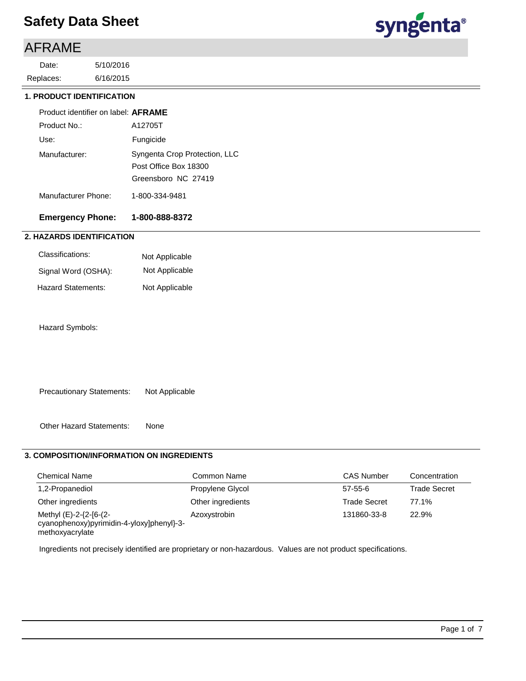# AFRAME

6/16/2015 5/10/2016 Replaces: Date:



#### **1. PRODUCT IDENTIFICATION**

| Product identifier on label: AFRAME |                                                                               |
|-------------------------------------|-------------------------------------------------------------------------------|
| Product No.:                        | A12705T                                                                       |
| Use:                                | Fungicide                                                                     |
| Manufacturer:                       | Syngenta Crop Protection, LLC<br>Post Office Box 18300<br>Greensboro NC 27419 |
| Manufacturer Phone:                 | 1-800-334-9481                                                                |

## **Emergency Phone: 1-800-888-8372**

## **2. HAZARDS IDENTIFICATION**

| Classifications:    | Not Applicable |
|---------------------|----------------|
| Signal Word (OSHA): | Not Applicable |
| Hazard Statements:  | Not Applicable |

Hazard Symbols:

Precautionary Statements: Not Applicable

Other Hazard Statements: None

## **3. COMPOSITION/INFORMATION ON INGREDIENTS**

| <b>Chemical Name</b>                                                                   | Common Name       | <b>CAS Number</b>   | Concentration       |
|----------------------------------------------------------------------------------------|-------------------|---------------------|---------------------|
| 1,2-Propanediol                                                                        | Propylene Glycol  | $57 - 55 - 6$       | <b>Trade Secret</b> |
| Other ingredients                                                                      | Other ingredients | <b>Trade Secret</b> | 77.1%               |
| Methyl (E)-2-{2-[6-(2-<br>cyanophenoxy)pyrimidin-4-yloxy]phenyl}-3-<br>methoxyacrylate | Azoxystrobin      | 131860-33-8         | 22.9%               |

Ingredients not precisely identified are proprietary or non-hazardous. Values are not product specifications.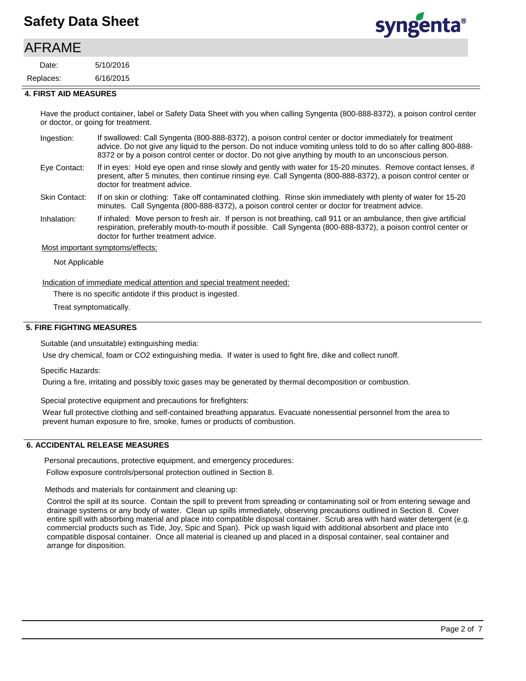# AFRAME

6/16/2015 5/10/2016 Replaces: Date:



#### **4. FIRST AID MEASURES**

Have the product container, label or Safety Data Sheet with you when calling Syngenta (800-888-8372), a poison control center or doctor, or going for treatment.

| Ingestion:           | If swallowed: Call Syngenta (800-888-8372), a poison control center or doctor immediately for treatment<br>advice. Do not give any liquid to the person. Do not induce vomiting unless told to do so after calling 800-888-<br>8372 or by a poison control center or doctor. Do not give anything by mouth to an unconscious person. |
|----------------------|--------------------------------------------------------------------------------------------------------------------------------------------------------------------------------------------------------------------------------------------------------------------------------------------------------------------------------------|
| Eye Contact:         | If in eyes: Hold eye open and rinse slowly and gently with water for 15-20 minutes. Remove contact lenses, if<br>present, after 5 minutes, then continue rinsing eye. Call Syngenta (800-888-8372), a poison control center or<br>doctor for treatment advice.                                                                       |
| <b>Skin Contact:</b> | If on skin or clothing: Take off contaminated clothing. Rinse skin immediately with plenty of water for 15-20<br>minutes. Call Syngenta (800-888-8372), a poison control center or doctor for treatment advice.                                                                                                                      |

If inhaled: Move person to fresh air. If person is not breathing, call 911 or an ambulance, then give artificial respiration, preferably mouth-to-mouth if possible. Call Syngenta (800-888-8372), a poison control center or doctor for further treatment advice. Inhalation:

Most important symptoms/effects:

Not Applicable

Indication of immediate medical attention and special treatment needed:

There is no specific antidote if this product is ingested.

Treat symptomatically.

### **5. FIRE FIGHTING MEASURES**

Suitable (and unsuitable) extinguishing media:

Use dry chemical, foam or CO2 extinguishing media. If water is used to fight fire, dike and collect runoff.

Specific Hazards:

During a fire, irritating and possibly toxic gases may be generated by thermal decomposition or combustion.

Special protective equipment and precautions for firefighters:

Wear full protective clothing and self-contained breathing apparatus. Evacuate nonessential personnel from the area to prevent human exposure to fire, smoke, fumes or products of combustion.

## **6. ACCIDENTAL RELEASE MEASURES**

Personal precautions, protective equipment, and emergency procedures:

Follow exposure controls/personal protection outlined in Section 8.

Methods and materials for containment and cleaning up:

Control the spill at its source. Contain the spill to prevent from spreading or contaminating soil or from entering sewage and drainage systems or any body of water. Clean up spills immediately, observing precautions outlined in Section 8. Cover entire spill with absorbing material and place into compatible disposal container. Scrub area with hard water detergent (e.g. commercial products such as Tide, Joy, Spic and Span). Pick up wash liquid with additional absorbent and place into compatible disposal container. Once all material is cleaned up and placed in a disposal container, seal container and arrange for disposition.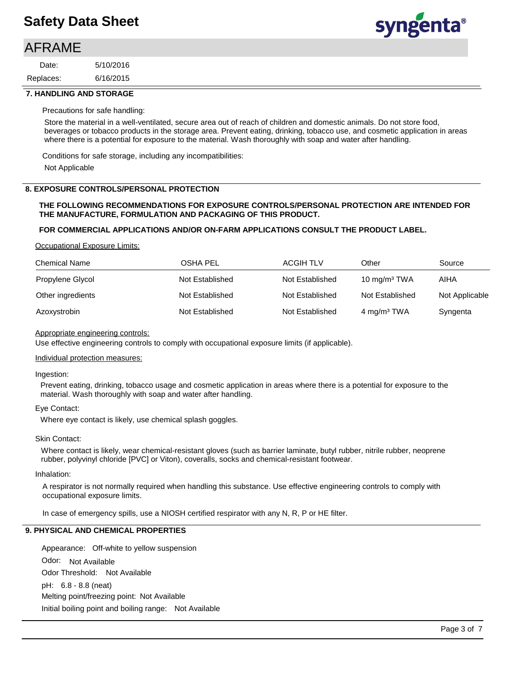# AFRAME

6/16/2015 5/10/2016 Replaces: Date:



#### **7. HANDLING AND STORAGE**

Precautions for safe handling:

Store the material in a well-ventilated, secure area out of reach of children and domestic animals. Do not store food, beverages or tobacco products in the storage area. Prevent eating, drinking, tobacco use, and cosmetic application in areas where there is a potential for exposure to the material. Wash thoroughly with soap and water after handling.

Conditions for safe storage, including any incompatibilities:

Not Applicable

#### **8. EXPOSURE CONTROLS/PERSONAL PROTECTION**

#### **THE FOLLOWING RECOMMENDATIONS FOR EXPOSURE CONTROLS/PERSONAL PROTECTION ARE INTENDED FOR THE MANUFACTURE, FORMULATION AND PACKAGING OF THIS PRODUCT.**

#### **FOR COMMERCIAL APPLICATIONS AND/OR ON-FARM APPLICATIONS CONSULT THE PRODUCT LABEL.**

Occupational Exposure Limits:

| <b>Chemical Name</b> | <b>OSHA PEL</b> | <b>ACGIH TLV</b> | Other                    | Source         |
|----------------------|-----------------|------------------|--------------------------|----------------|
| Propylene Glycol     | Not Established | Not Established  | 10 mg/m <sup>3</sup> TWA | AIHA           |
| Other ingredients    | Not Established | Not Established  | Not Established          | Not Applicable |
| Azoxystrobin         | Not Established | Not Established  | $4 \text{ mg/m}^3$ TWA   | Syngenta       |

#### Appropriate engineering controls:

Use effective engineering controls to comply with occupational exposure limits (if applicable).

#### Individual protection measures:

#### Ingestion:

Prevent eating, drinking, tobacco usage and cosmetic application in areas where there is a potential for exposure to the material. Wash thoroughly with soap and water after handling.

#### Eye Contact:

Where eye contact is likely, use chemical splash goggles.

#### Skin Contact:

Where contact is likely, wear chemical-resistant gloves (such as barrier laminate, butyl rubber, nitrile rubber, neoprene rubber, polyvinyl chloride [PVC] or Viton), coveralls, socks and chemical-resistant footwear.

#### Inhalation:

A respirator is not normally required when handling this substance. Use effective engineering controls to comply with occupational exposure limits.

In case of emergency spills, use a NIOSH certified respirator with any N, R, P or HE filter.

### **9. PHYSICAL AND CHEMICAL PROPERTIES**

Odor: Not Available Appearance: Off-white to yellow suspension pH: 6.8 - 8.8 (neat) Initial boiling point and boiling range: Not Available Melting point/freezing point: Not Available Odor Threshold: Not Available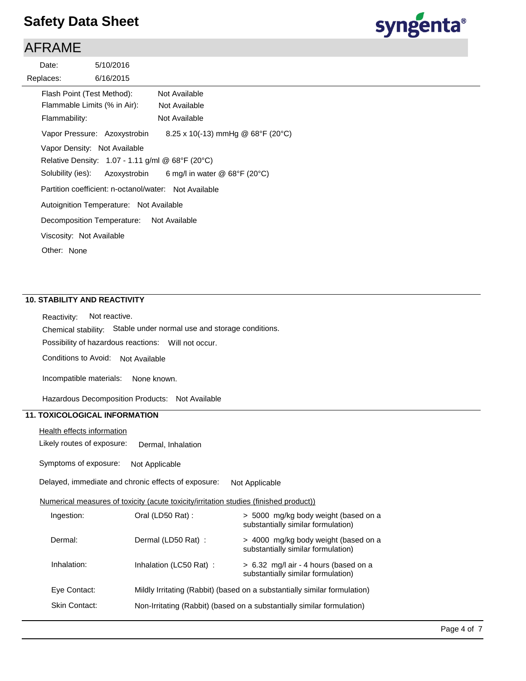# AFRAME



### **10. STABILITY AND REACTIVITY**

Possibility of hazardous reactions: Will not occur. Chemical stability: Stable under normal use and storage conditions. Reactivity: Not reactive.

Conditions to Avoid: Not Available

Incompatible materials: None known.

Hazardous Decomposition Products: Not Available

## **11. TOXICOLOGICAL INFORMATION**

Health effects information

Likely routes of exposure: Dermal, Inhalation

Symptoms of exposure: Not Applicable

Delayed, immediate and chronic effects of exposure: Not Applicable

Numerical measures of toxicity (acute toxicity/irritation studies (finished product))

| Ingestion:    | Oral (LD50 Rat):                                                          | > 5000 mg/kg body weight (based on a<br>substantially similar formulation)  |  |  |
|---------------|---------------------------------------------------------------------------|-----------------------------------------------------------------------------|--|--|
| Dermal:       | Dermal (LD50 Rat):                                                        | > 4000 mg/kg body weight (based on a<br>substantially similar formulation)  |  |  |
| Inhalation:   | Inhalation (LC50 Rat):                                                    | > 6.32 mg/l air - 4 hours (based on a<br>substantially similar formulation) |  |  |
| Eye Contact:  | Mildly Irritating (Rabbit) (based on a substantially similar formulation) |                                                                             |  |  |
| Skin Contact: | Non-Irritating (Rabbit) (based on a substantially similar formulation)    |                                                                             |  |  |

syngenta®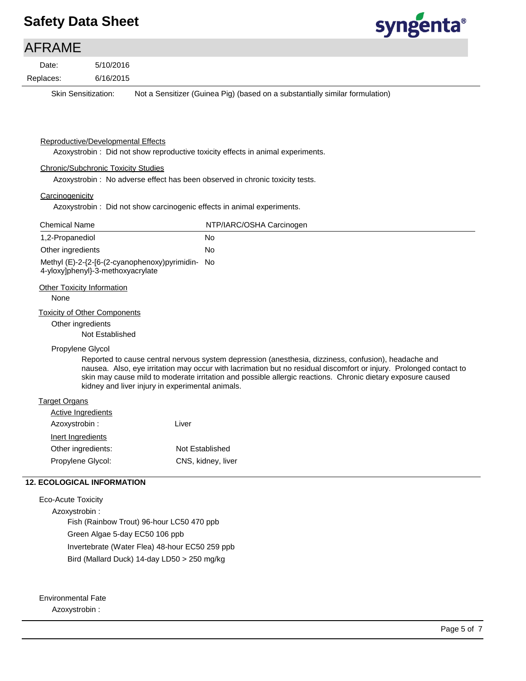

| <b>AFRAME</b>                              |                                                                                                                                                                                                                                                                                                                                                                                               |
|--------------------------------------------|-----------------------------------------------------------------------------------------------------------------------------------------------------------------------------------------------------------------------------------------------------------------------------------------------------------------------------------------------------------------------------------------------|
| Date:                                      | 5/10/2016                                                                                                                                                                                                                                                                                                                                                                                     |
| Replaces:                                  | 6/16/2015                                                                                                                                                                                                                                                                                                                                                                                     |
| <b>Skin Sensitization:</b>                 | Not a Sensitizer (Guinea Pig) (based on a substantially similar formulation)                                                                                                                                                                                                                                                                                                                  |
| Reproductive/Developmental Effects         | Azoxystrobin: Did not show reproductive toxicity effects in animal experiments.                                                                                                                                                                                                                                                                                                               |
| <b>Chronic/Subchronic Toxicity Studies</b> |                                                                                                                                                                                                                                                                                                                                                                                               |
|                                            | Azoxystrobin: No adverse effect has been observed in chronic toxicity tests.                                                                                                                                                                                                                                                                                                                  |
| Carcinogenicity                            | Azoxystrobin: Did not show carcinogenic effects in animal experiments.                                                                                                                                                                                                                                                                                                                        |
| <b>Chemical Name</b>                       | NTP/IARC/OSHA Carcinogen                                                                                                                                                                                                                                                                                                                                                                      |
| 1,2-Propanediol                            | No                                                                                                                                                                                                                                                                                                                                                                                            |
| Other ingredients                          | No                                                                                                                                                                                                                                                                                                                                                                                            |
| 4-yloxy]phenyl}-3-methoxyacrylate          | Methyl (E)-2-{2-[6-(2-cyanophenoxy)pyrimidin-<br>No                                                                                                                                                                                                                                                                                                                                           |
| <b>Other Toxicity Information</b><br>None  |                                                                                                                                                                                                                                                                                                                                                                                               |
| <b>Toxicity of Other Components</b>        |                                                                                                                                                                                                                                                                                                                                                                                               |
| Other ingredients                          |                                                                                                                                                                                                                                                                                                                                                                                               |
|                                            | Not Established                                                                                                                                                                                                                                                                                                                                                                               |
| Propylene Glycol                           |                                                                                                                                                                                                                                                                                                                                                                                               |
|                                            | Reported to cause central nervous system depression (anesthesia, dizziness, confusion), headache and<br>nausea. Also, eye irritation may occur with lacrimation but no residual discomfort or injury. Prolonged contact to<br>skin may cause mild to moderate irritation and possible allergic reactions. Chronic dietary exposure caused<br>kidney and liver injury in experimental animals. |
| <b>Target Organs</b>                       |                                                                                                                                                                                                                                                                                                                                                                                               |
| <b>Active Ingredients</b>                  |                                                                                                                                                                                                                                                                                                                                                                                               |
| Azoxystrobin :                             | Liver                                                                                                                                                                                                                                                                                                                                                                                         |
| Inert Ingredients                          |                                                                                                                                                                                                                                                                                                                                                                                               |
| Other ingredients:                         | Not Established                                                                                                                                                                                                                                                                                                                                                                               |
| Propylene Glycol:                          | CNS, kidney, liver                                                                                                                                                                                                                                                                                                                                                                            |
| <b>12. ECOLOGICAL INFORMATION</b>          |                                                                                                                                                                                                                                                                                                                                                                                               |
| <b>Eco-Acute Toxicity</b>                  |                                                                                                                                                                                                                                                                                                                                                                                               |
| Azoxystrobin:                              |                                                                                                                                                                                                                                                                                                                                                                                               |
|                                            | Fish (Rainbow Trout) 96-hour LC50 470 ppb                                                                                                                                                                                                                                                                                                                                                     |
|                                            | Green Algae 5-day EC50 106 ppb                                                                                                                                                                                                                                                                                                                                                                |
|                                            | Invertebrate (Water Flea) 48-hour EC50 259 ppb                                                                                                                                                                                                                                                                                                                                                |
|                                            | Bird (Mallard Duck) 14-day LD50 > 250 mg/kg                                                                                                                                                                                                                                                                                                                                                   |

Environmental Fate

Azoxystrobin :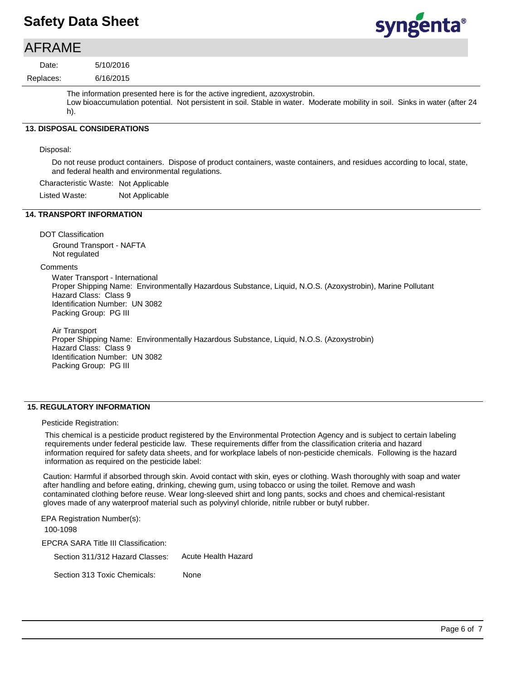# AFRAME

| Date:     | 5/10/2016 |  |  |  |  |  |
|-----------|-----------|--|--|--|--|--|
| Replaces: | 6/16/2015 |  |  |  |  |  |
|           |           |  |  |  |  |  |

The information presented here is for the active ingredient, azoxystrobin. Low bioaccumulation potential. Not persistent in soil. Stable in water. Moderate mobility in soil. Sinks in water (after 24 h).

syngenta®

### **13. DISPOSAL CONSIDERATIONS**

#### Disposal:

Do not reuse product containers. Dispose of product containers, waste containers, and residues according to local, state, and federal health and environmental regulations.

Characteristic Waste: Not Applicable

Listed Waste: Not Applicable

## **14. TRANSPORT INFORMATION**

DOT Classification

Ground Transport - NAFTA Not regulated

**Comments** 

Water Transport - International Proper Shipping Name: Environmentally Hazardous Substance, Liquid, N.O.S. (Azoxystrobin), Marine Pollutant Hazard Class: Class 9 Identification Number: UN 3082 Packing Group: PG III

Air Transport Proper Shipping Name: Environmentally Hazardous Substance, Liquid, N.O.S. (Azoxystrobin) Hazard Class: Class 9 Identification Number: UN 3082 Packing Group: PG III

### **15. REGULATORY INFORMATION**

#### Pesticide Registration:

This chemical is a pesticide product registered by the Environmental Protection Agency and is subject to certain labeling requirements under federal pesticide law. These requirements differ from the classification criteria and hazard information required for safety data sheets, and for workplace labels of non-pesticide chemicals. Following is the hazard information as required on the pesticide label:

Caution: Harmful if absorbed through skin. Avoid contact with skin, eyes or clothing. Wash thoroughly with soap and water after handling and before eating, drinking, chewing gum, using tobacco or using the toilet. Remove and wash contaminated clothing before reuse. Wear long-sleeved shirt and long pants, socks and choes and chemical-resistant gloves made of any waterproof material such as polyvinyl chloride, nitrile rubber or butyl rubber.

EPCRA SARA Title III Classification: Section 311/312 Hazard Classes: Section 313 Toxic Chemicals: EPA Registration Number(s): 100-1098 None Acute Health Hazard